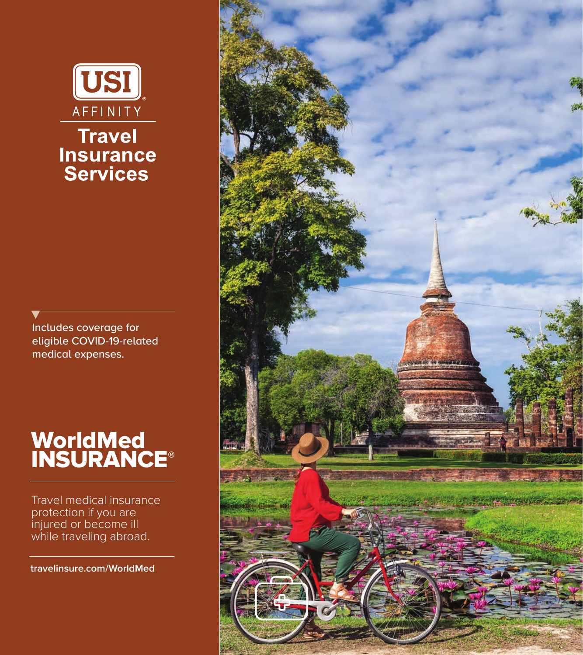

Includes coverage for eligible COVID-19-related medical expenses.

# WorldMed **INSURANCE®**

Travel medical insurance protection if you are injured or become ill while traveling abroad.

**travelinsure.com/WorldMed**

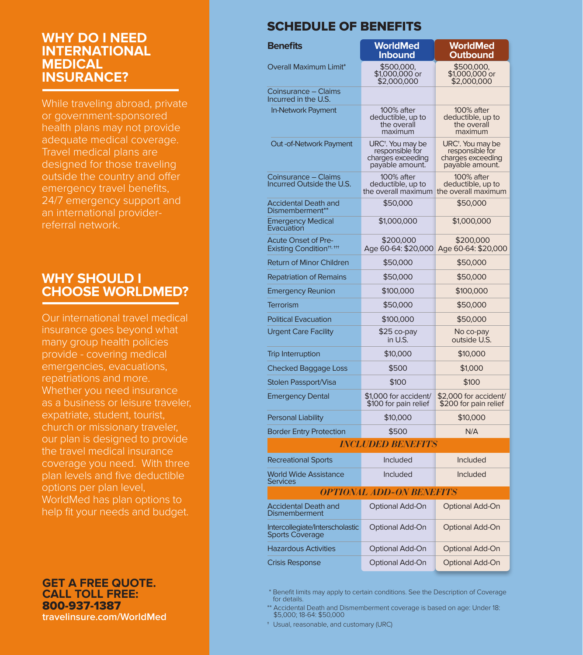## **WHY DO I NEED INTERNATIONAL MEDICAL INSURANCE?**

While traveling abroad, private or government-sponsored health plans may not provide adequate medical coverage. Travel medical plans are designed for those traveling outside the country and offer emergency travel benefits, 24/7 emergency support and an international providerreferral network.

# **WHY SHOULD I CHOOSE WORLDMED?**

Our international travel medical insurance goes beyond what many group health policies provide - covering medical emergencies, evacuations, repatriations and more. Whether you need insurance as a business or leisure traveler, expatriate, student, tourist, church or missionary traveler, our plan is designed to provide the travel medical insurance coverage you need. With three plan levels and five deductible options per plan level, WorldMed has plan options to help fit your needs and budget.

**GET A FREE QUOTE. CALL TOLL FREE:** 800-937-1387 **travelinsure.com/WorldMed**

# SCHEDULE OF BENEFITS

| <b>Benefits</b>                                                   | <b>WorldMed</b><br>Inbound                                                               | <b>WorldMed</b><br>Outbound                                                              |  |  |  |
|-------------------------------------------------------------------|------------------------------------------------------------------------------------------|------------------------------------------------------------------------------------------|--|--|--|
| <b>Overall Maximum Limit*</b>                                     | \$500,000,<br>\$1,000,000 or<br>\$2,000,000                                              | \$500,000,<br>\$1,000,000 or<br>\$2,000,000                                              |  |  |  |
| Coinsurance – Claims<br>Incurred in the U.S.                      |                                                                                          |                                                                                          |  |  |  |
| In-Network Payment                                                | 100% after<br>deductible, up to<br>the overall<br>maximum                                | 100% after<br>deductible, up to<br>the overall<br>maximum                                |  |  |  |
| Out-of-Network Payment                                            | URC <sup>+</sup> . You may be<br>responsible for<br>charges exceeding<br>payable amount. | URC <sup>+</sup> . You may be<br>responsible for<br>charges exceeding<br>payable amount. |  |  |  |
| Coinsurance – Claims<br>Incurred Outside the U.S.                 | 100% after<br>deductible, up to<br>the overall maximum                                   | 100% after<br>deductible, up to<br>the overall maximum                                   |  |  |  |
| Accidental Death and<br>Dismemberment <sup>®</sup>                | \$50,000                                                                                 | \$50,000                                                                                 |  |  |  |
| <b>Emergency Medical</b><br>Evacuation                            | \$1,000,000                                                                              | \$1,000,000                                                                              |  |  |  |
| <b>Acute Onset of Pre-</b><br>Existing Condition <sup>#, ##</sup> | \$200,000<br>Age 60-64: \$20,000                                                         | \$200,000<br>Age 60-64: \$20,000                                                         |  |  |  |
| <b>Return of Minor Children</b>                                   | \$50,000                                                                                 | \$50,000                                                                                 |  |  |  |
| <b>Repatriation of Remains</b>                                    | \$50,000                                                                                 | \$50,000                                                                                 |  |  |  |
| <b>Emergency Reunion</b>                                          | \$100,000                                                                                | \$100,000                                                                                |  |  |  |
| <b>Terrorism</b>                                                  | \$50,000                                                                                 | \$50,000                                                                                 |  |  |  |
| <b>Political Evacuation</b>                                       | \$100,000                                                                                | \$50,000                                                                                 |  |  |  |
| <b>Urgent Care Facility</b>                                       | $$25$ co-pay<br>in U.S.                                                                  | No co-pay<br>outside U.S.                                                                |  |  |  |
| <b>Trip Interruption</b>                                          | \$10,000                                                                                 | \$10,000                                                                                 |  |  |  |
| <b>Checked Baggage Loss</b>                                       | \$500                                                                                    | \$1,000                                                                                  |  |  |  |
| Stolen Passport/Visa                                              | \$100                                                                                    | \$100                                                                                    |  |  |  |
| <b>Emergency Dental</b>                                           | \$1,000 for accident/<br>\$100 for pain relief                                           | \$2,000 for accident/<br>\$200 for pain relief                                           |  |  |  |
| <b>Personal Liability</b>                                         | \$10,000                                                                                 | \$10,000                                                                                 |  |  |  |
| <b>Border Entry Protection</b>                                    | \$500                                                                                    | N/A                                                                                      |  |  |  |
|                                                                   | <i>INCLUDED BENEFITS</i>                                                                 |                                                                                          |  |  |  |
| <b>Recreational Sports</b>                                        | Included                                                                                 | Included                                                                                 |  |  |  |
| <b>World Wide Assistance</b><br><b>Services</b>                   | Included                                                                                 | Included                                                                                 |  |  |  |
|                                                                   | <i>OPTIONAL ADD-ON BENEFITS</i>                                                          |                                                                                          |  |  |  |
| <b>Accidental Death and</b><br><b>Dismemberment</b>               | Optional Add-On                                                                          | Optional Add-On                                                                          |  |  |  |
| Intercollegiate/Interscholastic<br><b>Sports Coverage</b>         | Optional Add-On                                                                          | Optional Add-On                                                                          |  |  |  |
| <b>Hazardous Activities</b>                                       | Optional Add-On                                                                          | Optional Add-On                                                                          |  |  |  |
| <b>Crisis Response</b>                                            | Optional Add-On                                                                          | Optional Add-On                                                                          |  |  |  |

 \* Benefit limits may apply to certain conditions. See the Description of Coverage for details.

\*\* Accidental Death and Dismemberment coverage is based on age: Under 18: \$5,000; 18-64: \$50,000

† Usual, reasonable, and customary (URC)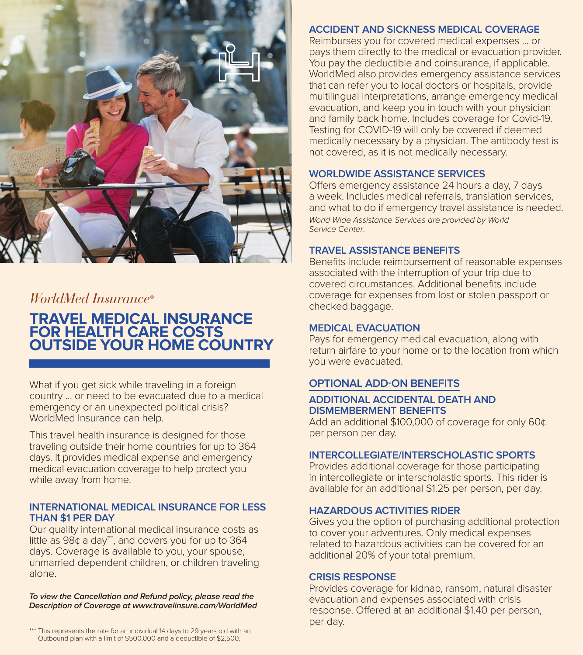

# *WorldMed Insurance®*

# **TRAVEL MEDICAL INSURANCE FOR HEALTH CARE COSTS OUTSIDE YOUR HOME COUNTRY**

What if you get sick while traveling in a foreign country ... or need to be evacuated due to a medical emergency or an unexpected political crisis? WorldMed Insurance can help.

This travel health insurance is designed for those traveling outside their home countries for up to 364 days. It provides medical expense and emergency medical evacuation coverage to help protect you while away from home.

#### **INTERNATIONAL MEDICAL INSURANCE FOR LESS THAN \$1 PER DAY**

Our quality international medical insurance costs as little as  $98¢$  a day", and covers you for up to  $364$ days. Coverage is available to you, your spouse, unmarried dependent children, or children traveling alone.

*To view the Cancellation and Refund policy, please read the Description of Coverage at www.travelinsure.com/WorldMed* **ACCIDENT AND SICKNESS MEDICAL COVERAGE**

Reimburses you for covered medical expenses ... or pays them directly to the medical or evacuation provider. You pay the deductible and coinsurance, if applicable. WorldMed also provides emergency assistance services that can refer you to local doctors or hospitals, provide multilingual interpretations, arrange emergency medical evacuation, and keep you in touch with your physician and family back home. Includes coverage for Covid-19. Testing for COVID-19 will only be covered if deemed medically necessary by a physician. The antibody test is not covered, as it is not medically necessary.

## **WORLDWIDE ASSISTANCE SERVICES**

Offers emergency assistance 24 hours a day, 7 days a week. Includes medical referrals, translation services, and what to do if emergency travel assistance is needed. *World Wide Assistance Services are provided by World Service Center*.

#### **TRAVEL ASSISTANCE BENEFITS**

Benefits include reimbursement of reasonable expenses associated with the interruption of your trip due to covered circumstances. Additional benefits include coverage for expenses from lost or stolen passport or checked baggage.

#### **MEDICAL EVACUATION**

Pays for emergency medical evacuation, along with return airfare to your home or to the location from which you were evacuated.

## **OPTIONAL ADD-ON BENEFITS**

#### **ADDITIONAL ACCIDENTAL DEATH AND DISMEMBERMENT BENEFITS**

Add an additional \$100,000 of coverage for only 60¢ per person per day.

#### **INTERCOLLEGIATE/INTERSCHOLASTIC SPORTS**

Provides additional coverage for those participating in intercollegiate or interscholastic sports. This rider is available for an additional \$1.25 per person, per day.

## **HAZARDOUS ACTIVITIES RIDER**

Gives you the option of purchasing additional protection to cover your adventures. Only medical expenses related to hazardous activities can be covered for an additional 20% of your total premium.

#### **CRISIS RESPONSE**

Provides coverage for kidnap, ransom, natural disaster evacuation and expenses associated with crisis response. Offered at an additional \$1.40 per person, per day.

\*\*\* This represents the rate for an individual 14 days to 29 years old with an Outbound plan with a limit of \$500,000 and a deductible of \$2,500.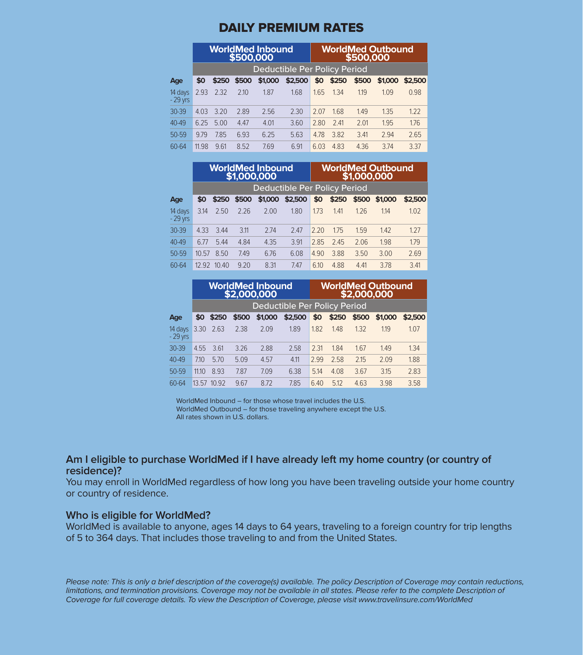## DAILY PREMIUM RATES

|                      | <b>WorldMed Inbound</b><br>\$500,000 |       |       |         |         | WorldMed Outbound<br>\$500,000 |       |       |         |         |  |
|----------------------|--------------------------------------|-------|-------|---------|---------|--------------------------------|-------|-------|---------|---------|--|
|                      | Deductible Per Policy Period         |       |       |         |         |                                |       |       |         |         |  |
| Age                  | \$0                                  | \$250 | \$500 | \$1,000 | \$2,500 | \$0                            | \$250 | \$500 | \$1,000 | \$2,500 |  |
| 14 days<br>$-29$ vrs | 2.93                                 | 2.32  | 2.10  | 1.87    | 1.68    | 1.65                           | 1.34  | 1.19  | 1.09    | 0.98    |  |
| $30 - 39$            | 4.03                                 | 3.20  | 2.89  | 2.56    | 2.30    | 2.07                           | 1.68  | 1.49  | 1.35    | 1.22    |  |
| $40 - 49$            | 6.25                                 | 5.00  | 4.47  | 4.01    | 3.60    | 2.80                           | 7.41  | 2.01  | 1.95    | 1.76    |  |
| 50-59                | 9.79                                 | 7.85  | 6.93  | 6.25    | 5.63    | 4.78                           | 3.82  | 3.41  | 2.94    | 2.65    |  |
| 60-64                | 11.98                                | 9.61  | 8.52  | 7.69    | 6.91    | 6.03                           | 4.83  | 4.36  | 3.74    | 3.37    |  |

|                      | <b>WorldMed Inbound</b><br>\$1,000,000 |       |       |         |         |      | <b>WorldMed Outbound</b><br>\$1,000,000 |       |         |         |  |
|----------------------|----------------------------------------|-------|-------|---------|---------|------|-----------------------------------------|-------|---------|---------|--|
|                      | Deductible Per Policy Period           |       |       |         |         |      |                                         |       |         |         |  |
| Age                  | \$0                                    | \$250 | \$500 | \$1,000 | \$2,500 | \$0  | \$250                                   | \$500 | \$1,000 | \$2,500 |  |
| 14 days<br>$-29$ vrs | 3.14                                   | 2.50  | 2.26  | 2.00    | 1.80    | 1.73 | 1.41                                    | 1.26  | 1.14    | 1.02    |  |
| $30 - 39$            | 4.33                                   | 3.44  | 3.11  | 2.74    | 2.47    | 2.20 | 1.75                                    | 1.59  | 1.42    | 1.27    |  |
| $40 - 49$            | 6.77                                   | 5.44  | 4.84  | 4.35    | 3.91    | 2.85 | 2.45                                    | 2.06  | 1.98    | 1.79    |  |
| 50-59                | 10.57                                  | 8.50  | 7.49  | 6.76    | 6.08    | 4.90 | 3.88                                    | 3.50  | 3.00    | 2.69    |  |
| 60-64                | 1292                                   | 10.40 | 9.20  | 8.31    | 7.47    | 6.10 | 4.88                                    | 4.41  | 3.78    | 3.41    |  |

|                      | <b>WorldMed Inbound</b><br>\$2,000,000 |       |       |         |         | <b>WorldMed Outbound</b><br>\$2,000,000 |       |       |         |         |
|----------------------|----------------------------------------|-------|-------|---------|---------|-----------------------------------------|-------|-------|---------|---------|
|                      | Deductible Per Policy Period           |       |       |         |         |                                         |       |       |         |         |
| Age                  | \$0                                    | \$250 | \$500 | \$1,000 | \$2,500 | \$0                                     | \$250 | \$500 | \$1,000 | \$2,500 |
| 14 days<br>$-29$ vrs | 3.30                                   | 2.63  | 2.38  | 2.09    | 1.89    | 1.82                                    | 1.48  | 1.32  | 1.19    | 1.07    |
| 30-39                | 4.55                                   | 3.61  | 3.26  | 2.88    | 2.58    | 2.31                                    | 1.84  | 1.67  | 1.49    | 1.34    |
| $40 - 49$            | 710                                    | 5.70  | 5.09  | 4.57    | 4.11    | 2.99                                    | 2.58  | 2.15  | 2.09    | 1.88    |
| 50-59                | 11.10                                  | 8.93  | 7.87  | 7.09    | 6.38    | 5.14                                    | 4.08  | 3.67  | 3.15    | 2.83    |
| 60-64                | 13.57                                  | 10.92 | 9.67  | 8.72    | 7.85    | 6.40                                    | 5.12  | 4.63  | 3.98    | 3.58    |

WorldMed Inbound – for those whose travel includes the U.S. WorldMed Outbound – for those traveling anywhere except the U.S. All rates shown in U.S. dollars.

#### **Am I eligible to purchase WorldMed if I have already left my home country (or country of residence)?**

You may enroll in WorldMed regardless of how long you have been traveling outside your home country or country of residence.

#### **Who is eligible for WorldMed?**

WorldMed is available to anyone, ages 14 days to 64 years, traveling to a foreign country for trip lengths of 5 to 364 days. That includes those traveling to and from the United States.

.<br>Please note: This is only a brief description of the coverage(s) available. The policy Description of Coverage may contain reductions, **855-874-0251** *Coverage for full coverage details. To view the Description of Coverage, please visit www.travelinsure.com/WorldMed limitations, and termination provisions. Coverage may not be available in all states. Please refer to the complete Description of*